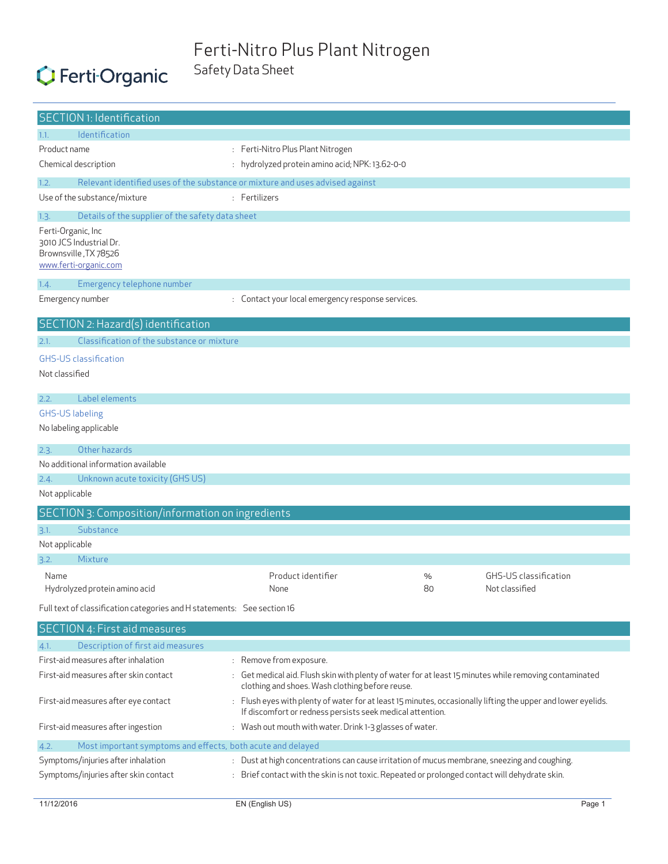#### Ferti-Nitro Plus Plant Nitrogen Safety Data Sheet

# C Ferti Organic

| <b>SECTION 1: Identification</b>                                                                                                       |                                                                                                                                                                                                                   |    |                       |  |
|----------------------------------------------------------------------------------------------------------------------------------------|-------------------------------------------------------------------------------------------------------------------------------------------------------------------------------------------------------------------|----|-----------------------|--|
| <b>Identification</b><br>1.1.                                                                                                          |                                                                                                                                                                                                                   |    |                       |  |
| Product name                                                                                                                           | : Ferti-Nitro Plus Plant Nitrogen                                                                                                                                                                                 |    |                       |  |
| Chemical description                                                                                                                   | : hydrolyzed protein amino acid; NPK: 13.62-0-0                                                                                                                                                                   |    |                       |  |
| 1.2.<br>Relevant identified uses of the substance or mixture and uses advised against                                                  |                                                                                                                                                                                                                   |    |                       |  |
| Use of the substance/mixture                                                                                                           | : Fertilizers                                                                                                                                                                                                     |    |                       |  |
| Details of the supplier of the safety data sheet<br>1.3.                                                                               |                                                                                                                                                                                                                   |    |                       |  |
| Ferti-Organic, Inc                                                                                                                     |                                                                                                                                                                                                                   |    |                       |  |
| 3010 JCS Industrial Dr.                                                                                                                |                                                                                                                                                                                                                   |    |                       |  |
| Brownsville, TX 78526                                                                                                                  |                                                                                                                                                                                                                   |    |                       |  |
| www.ferti-organic.com                                                                                                                  |                                                                                                                                                                                                                   |    |                       |  |
| 1.4.<br>Emergency telephone number                                                                                                     |                                                                                                                                                                                                                   |    |                       |  |
| Emergency number                                                                                                                       | : Contact your local emergency response services.                                                                                                                                                                 |    |                       |  |
| SECTION 2: Hazard(s) identification                                                                                                    |                                                                                                                                                                                                                   |    |                       |  |
| Classification of the substance or mixture<br>2.1.                                                                                     |                                                                                                                                                                                                                   |    |                       |  |
| <b>GHS-US classification</b>                                                                                                           |                                                                                                                                                                                                                   |    |                       |  |
| Not classified                                                                                                                         |                                                                                                                                                                                                                   |    |                       |  |
|                                                                                                                                        |                                                                                                                                                                                                                   |    |                       |  |
| Label elements<br>2.2.                                                                                                                 |                                                                                                                                                                                                                   |    |                       |  |
| <b>GHS-US labeling</b>                                                                                                                 |                                                                                                                                                                                                                   |    |                       |  |
| No labeling applicable                                                                                                                 |                                                                                                                                                                                                                   |    |                       |  |
| Other hazards<br>2.3.                                                                                                                  |                                                                                                                                                                                                                   |    |                       |  |
| No additional information available                                                                                                    |                                                                                                                                                                                                                   |    |                       |  |
| Unknown acute toxicity (GHS US)<br>2.4.                                                                                                |                                                                                                                                                                                                                   |    |                       |  |
| Not applicable                                                                                                                         |                                                                                                                                                                                                                   |    |                       |  |
| SECTION 3: Composition/information on ingredients                                                                                      |                                                                                                                                                                                                                   |    |                       |  |
| Substance<br>3.1.                                                                                                                      |                                                                                                                                                                                                                   |    |                       |  |
| Not applicable                                                                                                                         |                                                                                                                                                                                                                   |    |                       |  |
| Mixture<br>3.2.                                                                                                                        |                                                                                                                                                                                                                   |    |                       |  |
| Name                                                                                                                                   | Product identifier                                                                                                                                                                                                | %  | GHS-US classification |  |
| Hydrolyzed protein amino acid                                                                                                          | None                                                                                                                                                                                                              | 80 | Not classified        |  |
| Full text of classification categories and H statements: See section 16                                                                |                                                                                                                                                                                                                   |    |                       |  |
| SECTION 4: First aid measures                                                                                                          |                                                                                                                                                                                                                   |    |                       |  |
| Description of first aid measures<br>4.1.                                                                                              |                                                                                                                                                                                                                   |    |                       |  |
| First-aid measures after inhalation                                                                                                    | : Remove from exposure.                                                                                                                                                                                           |    |                       |  |
| First-aid measures after skin contact                                                                                                  | : Get medical aid. Flush skin with plenty of water for at least 15 minutes while removing contaminated                                                                                                            |    |                       |  |
|                                                                                                                                        | clothing and shoes. Wash clothing before reuse.                                                                                                                                                                   |    |                       |  |
|                                                                                                                                        | First-aid measures after eye contact<br>: Flush eyes with plenty of water for at least 15 minutes, occasionally lifting the upper and lower eyelids.<br>If discomfort or redness persists seek medical attention. |    |                       |  |
| First-aid measures after ingestion<br>: Wash out mouth with water. Drink 1-3 glasses of water.                                         |                                                                                                                                                                                                                   |    |                       |  |
| Most important symptoms and effects, both acute and delayed<br>4.2.                                                                    |                                                                                                                                                                                                                   |    |                       |  |
| Symptoms/injuries after inhalation<br>: Dust at high concentrations can cause irritation of mucus membrane, sneezing and coughing.     |                                                                                                                                                                                                                   |    |                       |  |
| Symptoms/injuries after skin contact<br>: Brief contact with the skin is not toxic. Repeated or prolonged contact will dehydrate skin. |                                                                                                                                                                                                                   |    |                       |  |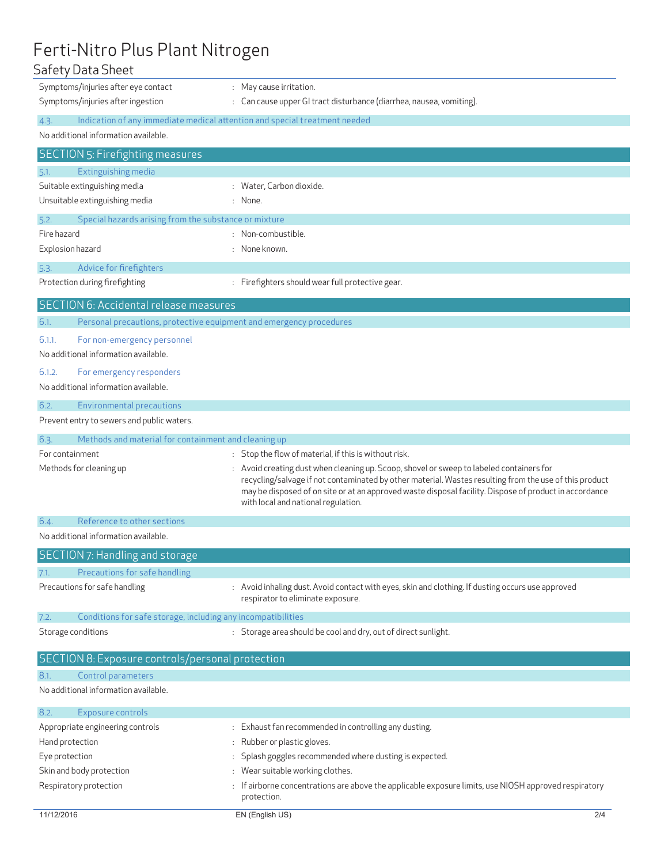# Ferti-Nitro Plus Plant Nitrogen

#### Safety Data Sheet

|                | Symptoms/injuries after eye contact                          | : May cause irritation.                                                                                                                                                                                                                                                                                                                             |
|----------------|--------------------------------------------------------------|-----------------------------------------------------------------------------------------------------------------------------------------------------------------------------------------------------------------------------------------------------------------------------------------------------------------------------------------------------|
|                | Symptoms/injuries after ingestion                            | : Can cause upper GI tract disturbance (diarrhea, nausea, vomiting).                                                                                                                                                                                                                                                                                |
| 4.3.           |                                                              | Indication of any immediate medical attention and special treatment needed                                                                                                                                                                                                                                                                          |
|                | No additional information available.                         |                                                                                                                                                                                                                                                                                                                                                     |
|                | <b>SECTION 5: Firefighting measures</b>                      |                                                                                                                                                                                                                                                                                                                                                     |
| 5.1.           | Extinguishing media                                          |                                                                                                                                                                                                                                                                                                                                                     |
|                | Suitable extinguishing media                                 | : Water, Carbon dioxide.                                                                                                                                                                                                                                                                                                                            |
|                | Unsuitable extinguishing media                               | : None.                                                                                                                                                                                                                                                                                                                                             |
| 5.2.           | Special hazards arising from the substance or mixture        |                                                                                                                                                                                                                                                                                                                                                     |
| Fire hazard    |                                                              | : Non-combustible.                                                                                                                                                                                                                                                                                                                                  |
|                | Explosion hazard                                             | : None known.                                                                                                                                                                                                                                                                                                                                       |
| 5.3.           | Advice for firefighters                                      |                                                                                                                                                                                                                                                                                                                                                     |
|                | Protection during firefighting                               | : Firefighters should wear full protective gear.                                                                                                                                                                                                                                                                                                    |
|                | <b>SECTION 6: Accidental release measures</b>                |                                                                                                                                                                                                                                                                                                                                                     |
| 6.1.           |                                                              | Personal precautions, protective equipment and emergency procedures                                                                                                                                                                                                                                                                                 |
| 6.1.1.         | For non-emergency personnel                                  |                                                                                                                                                                                                                                                                                                                                                     |
|                | No additional information available.                         |                                                                                                                                                                                                                                                                                                                                                     |
| 6.1.2.         | For emergency responders                                     |                                                                                                                                                                                                                                                                                                                                                     |
|                | No additional information available.                         |                                                                                                                                                                                                                                                                                                                                                     |
| 6.2.           | <b>Environmental precautions</b>                             |                                                                                                                                                                                                                                                                                                                                                     |
|                | Prevent entry to sewers and public waters.                   |                                                                                                                                                                                                                                                                                                                                                     |
| 6.3.           | Methods and material for containment and cleaning up         |                                                                                                                                                                                                                                                                                                                                                     |
|                | For containment                                              | : Stop the flow of material, if this is without risk.                                                                                                                                                                                                                                                                                               |
|                | Methods for cleaning up                                      | : Avoid creating dust when cleaning up. Scoop, shovel or sweep to labeled containers for<br>recycling/salvage if not contaminated by other material. Wastes resulting from the use of this product<br>may be disposed of on site or at an approved waste disposal facility. Dispose of product in accordance<br>with local and national regulation. |
| 6.4.           | Reference to other sections                                  |                                                                                                                                                                                                                                                                                                                                                     |
|                | No additional information available.                         |                                                                                                                                                                                                                                                                                                                                                     |
|                | SECTION 7: Handling and storage                              |                                                                                                                                                                                                                                                                                                                                                     |
| 7.1.           | Precautions for safe handling                                |                                                                                                                                                                                                                                                                                                                                                     |
|                | Precautions for safe handling                                | : Avoid inhaling dust. Avoid contact with eyes, skin and clothing. If dusting occurs use approved                                                                                                                                                                                                                                                   |
|                |                                                              | respirator to eliminate exposure.                                                                                                                                                                                                                                                                                                                   |
| 7.2.           | Conditions for safe storage, including any incompatibilities |                                                                                                                                                                                                                                                                                                                                                     |
|                | Storage conditions                                           | : Storage area should be cool and dry, out of direct sunlight.                                                                                                                                                                                                                                                                                      |
|                | SECTION 8: Exposure controls/personal protection             |                                                                                                                                                                                                                                                                                                                                                     |
| 8.1.           | Control parameters                                           |                                                                                                                                                                                                                                                                                                                                                     |
|                | No additional information available.                         |                                                                                                                                                                                                                                                                                                                                                     |
| 8.2.           | Exposure controls                                            |                                                                                                                                                                                                                                                                                                                                                     |
|                | Appropriate engineering controls                             | : Exhaust fan recommended in controlling any dusting.                                                                                                                                                                                                                                                                                               |
|                | Hand protection                                              | Rubber or plastic gloves.                                                                                                                                                                                                                                                                                                                           |
| Eye protection |                                                              | Splash goggles recommended where dusting is expected.                                                                                                                                                                                                                                                                                               |
|                | Skin and body protection                                     | : Wear suitable working clothes.                                                                                                                                                                                                                                                                                                                    |
|                | Respiratory protection                                       | Fairborne concentrations are above the applicable exposure limits, use NIOSH approved respiratory :<br>protection.                                                                                                                                                                                                                                  |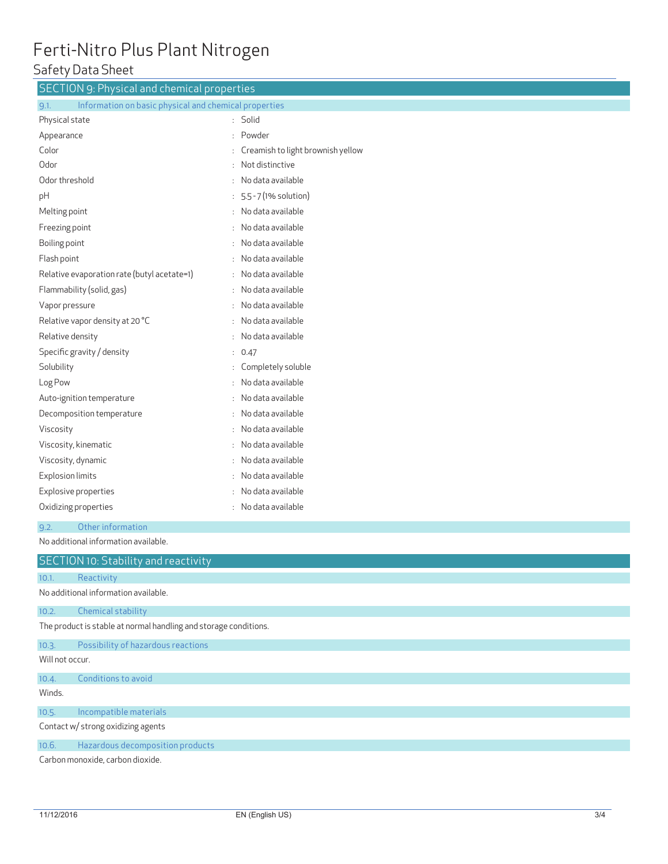# Ferti-Nitro Plus Plant Nitrogen

### Safety Data Sheet

| <b>SECTION 9: Physical and chemical properties</b>            |                                   |  |  |  |
|---------------------------------------------------------------|-----------------------------------|--|--|--|
| Information on basic physical and chemical properties<br>9.1. |                                   |  |  |  |
| Physical state                                                | : Solid                           |  |  |  |
| Appearance                                                    | Powder                            |  |  |  |
| Color                                                         | Creamish to light brownish yellow |  |  |  |
| Odor                                                          | Not distinctive                   |  |  |  |
| Odor threshold                                                | No data available                 |  |  |  |
| рH                                                            | 5.5 - 7 (1% solution)             |  |  |  |
| Melting point                                                 | No data available                 |  |  |  |
| Freezing point                                                | No data available                 |  |  |  |
| Boiling point                                                 | No data available                 |  |  |  |
| Flash point                                                   | No data available                 |  |  |  |
| Relative evaporation rate (butyl acetate=1)                   | No data available                 |  |  |  |
| Flammability (solid, gas)                                     | No data available                 |  |  |  |
| Vapor pressure                                                | No data available                 |  |  |  |
| Relative vapor density at 20 °C                               | No data available                 |  |  |  |
| Relative density                                              | No data available                 |  |  |  |
| Specific gravity / density                                    | 0.47                              |  |  |  |
| Solubility                                                    | Completely soluble                |  |  |  |
| Log Pow                                                       | No data available                 |  |  |  |
| Auto-ignition temperature                                     | No data available                 |  |  |  |
| Decomposition temperature                                     | No data available                 |  |  |  |
| Viscosity                                                     | No data available                 |  |  |  |
| Viscosity, kinematic                                          | No data available                 |  |  |  |
| Viscosity, dynamic                                            | No data available                 |  |  |  |
| Explosion limits                                              | No data available                 |  |  |  |
| Explosive properties                                          | No data available                 |  |  |  |
| Oxidizing properties                                          | No data available                 |  |  |  |
| Other information<br>9.2.                                     |                                   |  |  |  |
| No additional information available.                          |                                   |  |  |  |
| <b>SECTION 10: Stability and reactivity</b>                   |                                   |  |  |  |
| Reactivity<br>10.1.                                           |                                   |  |  |  |
| No additional information available.                          |                                   |  |  |  |

10.2. Chemical stability

The product is stable at normal handling and storage conditions.

#### 10.3. Possibility of hazardous reactions

Will not occur.

10.4. Conditions to avoid

Winds.

#### 10.5. Incompatible materials

Contact w/ strong oxidizing agents

10.6. Hazardous decomposition products

Carbon monoxide, carbon dioxide.